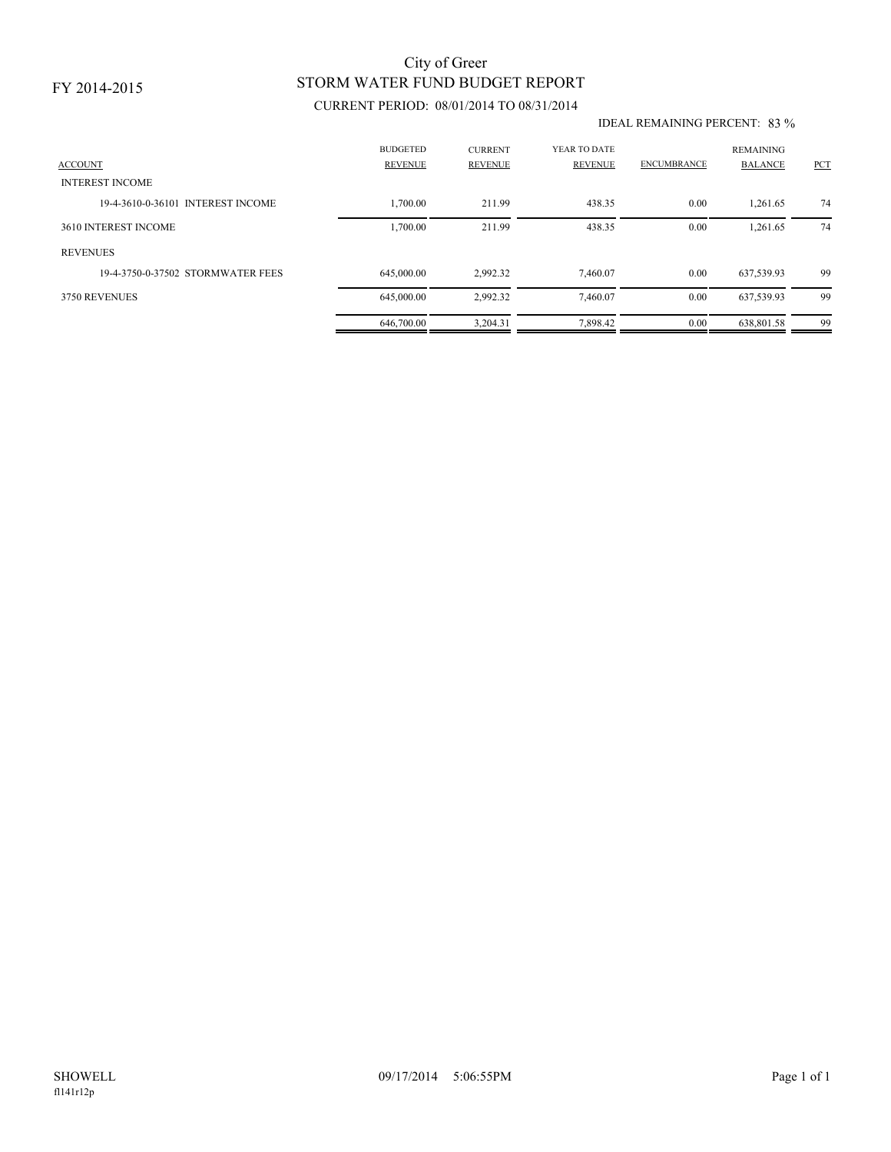### FY 2014-2015

## STORM WATER FUND BUDGET REPORT City of Greer

### CURRENT PERIOD: 08/01/2014 TO 08/31/2014

#### IDEAL REMAINING PERCENT: 83 %

| <b>ACCOUNT</b>                    | <b>BUDGETED</b><br><b>REVENUE</b> | <b>CURRENT</b><br><b>REVENUE</b> | YEAR TO DATE<br><b>REVENUE</b> | <b>ENCUMBRANCE</b> | <b>REMAINING</b><br><b>BALANCE</b> | PCT |
|-----------------------------------|-----------------------------------|----------------------------------|--------------------------------|--------------------|------------------------------------|-----|
| <b>INTEREST INCOME</b>            |                                   |                                  |                                |                    |                                    |     |
| 19-4-3610-0-36101 INTEREST INCOME | ,700.00                           | 211.99                           | 438.35                         | 0.00               | 1,261.65                           | 74  |
| 3610 INTEREST INCOME              | 1,700.00                          | 211.99                           | 438.35                         | 0.00               | 1,261.65                           | 74  |
| <b>REVENUES</b>                   |                                   |                                  |                                |                    |                                    |     |
| 19-4-3750-0-37502 STORMWATER FEES | 645,000.00                        | 2,992.32                         | 7.460.07                       | 0.00               | 637,539.93                         | 99  |
| 3750 REVENUES                     | 645,000.00                        | 2,992.32                         | 7,460.07                       | 0.00               | 637,539.93                         | 99  |
|                                   | 646,700.00                        | 3,204.31                         | 7,898.42                       | 0.00               | 638,801.58                         | 99  |